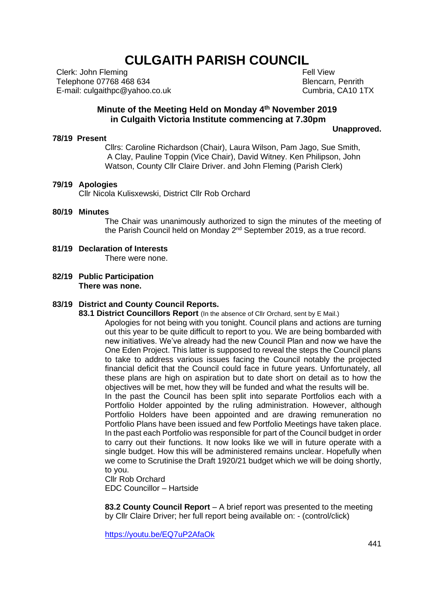# **CULGAITH PARISH COUNCIL**

Clerk: John Fleming Telephone 07768 468 634 E-mail: culgaithpc@yahoo.co.uk

 Fell View Blencarn, Penrith Cumbria, CA10 1TX

## **Minute of the Meeting Held on Monday 4 th November 2019 in Culgaith Victoria Institute commencing at 7.30pm**

#### **Unapproved.**

Cllrs: Caroline Richardson (Chair), Laura Wilson, Pam Jago, Sue Smith, A Clay, Pauline Toppin (Vice Chair), David Witney. Ken Philipson, John Watson, County Cllr Claire Driver. and John Fleming (Parish Clerk)

## **79/19 Apologies**

**78/19 Present**

Cllr Nicola Kulisxewski, District Cllr Rob Orchard

#### **80/19 Minutes**

The Chair was unanimously authorized to sign the minutes of the meeting of the Parish Council held on Monday 2<sup>nd</sup> September 2019, as a true record.

- **81/19 Declaration of Interests** There were none.
- **82/19 Public Participation There was none.**

#### **83/19 District and County Council Reports.**

**83.1 District Councillors Report** (In the absence of Cllr Orchard, sent by E Mail.)

Apologies for not being with you tonight. Council plans and actions are turning out this year to be quite difficult to report to you. We are being bombarded with new initiatives. We've already had the new Council Plan and now we have the One Eden Project. This latter is supposed to reveal the steps the Council plans to take to address various issues facing the Council notably the projected financial deficit that the Council could face in future years. Unfortunately, all these plans are high on aspiration but to date short on detail as to how the objectives will be met, how they will be funded and what the results will be. In the past the Council has been split into separate Portfolios each with a Portfolio Holder appointed by the ruling administration. However, although Portfolio Holders have been appointed and are drawing remuneration no Portfolio Plans have been issued and few Portfolio Meetings have taken place. In the past each Portfolio was responsible for part of the Council budget in order to carry out their functions. It now looks like we will in future operate with a single budget. How this will be administered remains unclear. Hopefully when we come to Scrutinise the Draft 1920/21 budget which we will be doing shortly, to you.

Cllr Rob Orchard EDC Councillor – Hartside

**83.2 County Council Report** – A brief report was presented to the meeting by Cllr Claire Driver; her full report being available on: - (control/click)

<https://youtu.be/EQ7uP2AfaOk>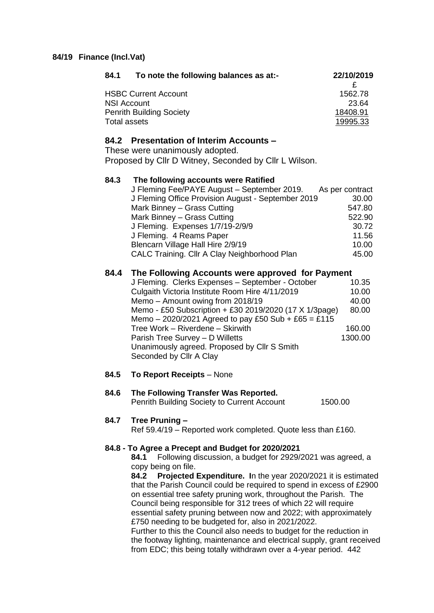## **84/19 Finance (Incl.Vat)**

| 22/10/2019 |
|------------|
|            |
| 1562.78    |
| 23.64      |
| 18408.91   |
| 19995.33   |
|            |

# **84.2 Presentation of Interim Accounts –**

These were unanimously adopted.

Proposed by Cllr D Witney, Seconded by Cllr L Wilson.

#### **84.3 The following accounts were Ratified** J Fleming Fee/PAYE August – September 2019. As per contract J Fleming Office Provision August - September 2019 30.00 Mark Binney – Grass Cutting 647.80 Mark Binney – Grass Cutting 622.90 J Fleming. Expenses 1/7/19-2/9/9 30.72 J Fleming. 4 Reams Paper 11.56 Blencarn Village Hall Hire 2/9/19 10.00 CALC Training. Cllr A Clay Neighborhood Plan 45.00

## **84.4 The Following Accounts were approved for Payment**

| J Fleming. Clerks Expenses - September - October       | 10.35   |
|--------------------------------------------------------|---------|
| Culgaith Victoria Institute Room Hire 4/11/2019        | 10.00   |
| Memo - Amount owing from 2018/19                       | 40.00   |
| Memo - £50 Subscription + £30 2019/2020 (17 X 1/3page) | 80.00   |
| Memo - 2020/2021 Agreed to pay £50 Sub + £65 = £115    |         |
| Tree Work - Riverdene - Skirwith                       | 160.00  |
| Parish Tree Survey - D Willetts                        | 1300.00 |
| Unanimously agreed. Proposed by Cllr S Smith           |         |
| Seconded by Cllr A Clay                                |         |

## **84.5 To Report Receipts** – None

## **84.6 The Following Transfer Was Reported.** Penrith Building Society to Current Account 1500.00

#### **84.7 Tree Pruning –**

Ref 59.4/19 – Reported work completed. Quote less than £160.

#### **84.8 - To Agree a Precept and Budget for 2020/2021**

**84.1** Following discussion, a budget for 2929/2021 was agreed, a copy being on file.

**84.2 Projected Expenditure. I**n the year 2020/2021 it is estimated that the Parish Council could be required to spend in excess of £2900 on essential tree safety pruning work, throughout the Parish. The Council being responsible for 312 trees of which 22 will require essential safety pruning between now and 2022; with approximately £750 needing to be budgeted for, also in 2021/2022.

Further to this the Council also needs to budget for the reduction in the footway lighting, maintenance and electrical supply, grant received from EDC; this being totally withdrawn over a 4-year period. 442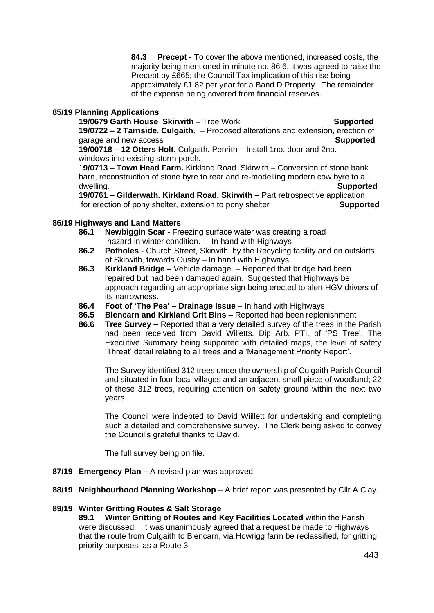**84.3 Precept -** To cover the above mentioned, increased costs, the majority being mentioned in minute no. 86.6, it was agreed to raise the Precept by £665; the Council Tax implication of this rise being approximately £1.82 per year for a Band D Property. The remainder of the expense being covered from financial reserves.

## **85/19 Planning Applications**

**19/0679 Garth House Skirwith** – Tree Work **Supported 19/0722 – 2 Tarnside. Culgaith.** – Proposed alterations and extension, erection of garage and new access **Supported**

**19/00718 – 12 Otters Holt.** Culgaith. Penrith – Install 1no. door and 2no. windows into existing storm porch.

1**9/0713 – Town Head Farm.** Kirkland Road. Skirwith – Conversion of stone bank barn, reconstruction of stone byre to rear and re-modelling modern cow byre to a dwelling. **Supported**

**19/0761 – Gilderwath. Kirkland Road. Skirwith –** Part retrospective application for erection of pony shelter, extension to pony shelter **Supported**

## **86/19 Highways and Land Matters**

- **86.1 Newbiggin Scar** Freezing surface water was creating a road hazard in winter condition. - In hand with Highways
- **86.2 Potholes**  Church Street, Skirwith, by the Recycling facility and on outskirts of Skirwith, towards Ousby – In hand with Highways
- **86.3 Kirkland Bridge –** Vehicle damage. Reported that bridge had been repaired but had been damaged again. Suggested that Highways be approach regarding an appropriate sign being erected to alert HGV drivers of its narrowness.
- **86.4 Foot of 'The Pea' – Drainage Issue** In hand with Highways
- **86.5 Blencarn and Kirkland Grit Bins –** Reported had been replenishment
- **86.6 Tree Survey –** Reported that a very detailed survey of the trees in the Parish had been received from David Willetts. Dip Arb. PTI. of 'PS Tree'. The Executive Summary being supported with detailed maps, the level of safety 'Threat' detail relating to all trees and a 'Management Priority Report'.

The Survey identified 312 trees under the ownership of Culgaith Parish Council and situated in four local villages and an adjacent small piece of woodland; 22 of these 312 trees, requiring attention on safety ground within the next two years.

The Council were indebted to David Wiillett for undertaking and completing such a detailed and comprehensive survey. The Clerk being asked to convey the Council's grateful thanks to David.

The full survey being on file.

- **87/19 Emergency Plan –** A revised plan was approved.
- **88/19 Neighbourhood Planning Workshop** A brief report was presented by Cllr A Clay.

## **89/19 Winter Gritting Routes & Salt Storage**

**89.1 Winter Gritting of Routes and Key Facilities Located** within the Parish were discussed. It was unanimously agreed that a request be made to Highways that the route from Culgaith to Blencarn, via Howrigg farm be reclassified, for gritting priority purposes, as a Route 3.